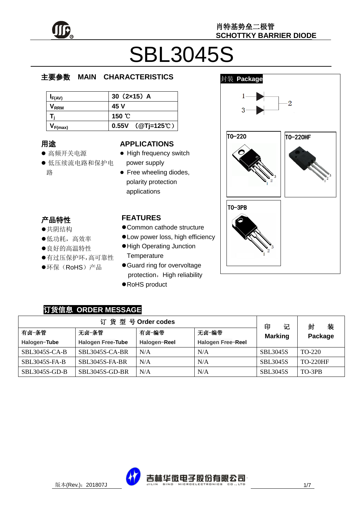

# SBL3045S

#### e  $\overline{\phantom{a}}$ 主要参数 **MAIN CHARACTERISTICS**

| $I_{F(AV)}$      | 30 $(2x15)$ A    |
|------------------|------------------|
| V <sub>rrm</sub> | 45 V             |
|                  | 150 °C           |
| $V_{F(max)}$     | 0.55V (@Tj=125℃) |

### 用途

……<br>● 高频开关电源

 产品特性 , H-IVI工<br>●共阴结构

> $\hat{\cdot}$  $\overline{a}$

- 大切地市<br>●低功耗,高效率 ●良好的高温特性

有过压保护环,高可靠性

●环保(RoHS)产品

יי<br>ל 低压续流电路和保护电 r. 路

#### **APPLICATIONS**

- High frequency switch power supply
- Free wheeling diodes, polarity protection applications

#### **FEATURES**

- Common cathode structure
	- Low power loss, high efficiency
	- High Operating Junction **Temperature**
	- Guard ring for overvoltage protection, High reliability
	- RoHS product



#### 订货信息 **ORDER MESSAGE**

|                      |                          | 订货型号Order codes |                          | 印<br>记          | 装<br>封          |
|----------------------|--------------------------|-----------------|--------------------------|-----------------|-----------------|
| 有卤-条管                | 无卤-条管                    | 有卤−编带           | 无卤-编带                    | <b>Marking</b>  | Package         |
| Halogen-Tube         | <b>Halogen Free-Tube</b> | Halogen-Reel    | <b>Halogen Free-Reel</b> |                 |                 |
| <b>SBL3045S-CA-B</b> | <b>SBL3045S-CA-BR</b>    | N/A             | N/A                      | <b>SBL3045S</b> | TO-220          |
| <b>SBL3045S-FA-B</b> | <b>SBL3045S-FA-BR</b>    | N/A             | N/A                      | <b>SBL3045S</b> | <b>TO-220HF</b> |
| SBL3045S-GD-B        | <b>SBL3045S-GD-BR</b>    | N/A             | N/A                      | <b>SBL3045S</b> | TO-3PB          |

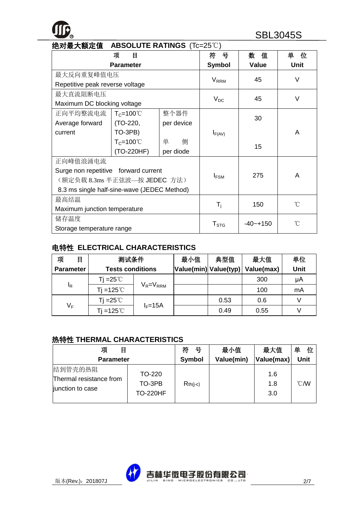| 绝对最大额定值<br><b>ABSOLUTE RATINGS</b> (Tc=25°C) |                     |            |                         |               |             |
|----------------------------------------------|---------------------|------------|-------------------------|---------------|-------------|
|                                              | 项<br>目              |            | 뮹<br>符                  | 数<br>值        | 单<br>位      |
|                                              | <b>Parameter</b>    |            | <b>Symbol</b>           | Value         | <b>Unit</b> |
| 最大反向重复峰值电压                                   |                     |            |                         | 45            | $\vee$      |
| Repetitive peak reverse voltage              |                     |            | <b>V</b> <sub>RRM</sub> |               |             |
| 最大直流阻断电压                                     |                     |            |                         |               | $\vee$      |
| Maximum DC blocking voltage                  |                     |            | $V_{DC}$                | 45            |             |
| 正向平均整流电流                                     | $T_c = 100^{\circ}$ | 整个器件       |                         |               |             |
| Average forward                              | (TO-220,            | per device |                         | 30            |             |
| current                                      | TO-3PB)             |            | $I_{F(AV)}$             |               | A           |
|                                              | $T_c = 100^{\circ}$ | 单<br>侧     |                         | 15            |             |
|                                              | (TO-220HF)          | per diode  |                         |               |             |
| 正向峰值浪涌电流                                     |                     |            |                         |               |             |
| Surge non repetitive forward current         |                     |            |                         |               | A           |
| (额定负载 8.3ms 半正弦波—按 JEDEC 方法)                 |                     |            | $I_{FSM}$               | 275           |             |
| 8.3 ms single half-sine-wave (JEDEC Method)  |                     |            |                         |               |             |
| 最高结温                                         |                     |            |                         |               | °C          |
| Maximum junction temperature                 |                     |            | $\mathsf{T}_\mathsf{i}$ | 150           |             |
| 储存温度                                         |                     |            |                         |               | n           |
| Storage temperature range                    |                     |            | $T_{STG}$               | $-40 - + 150$ |             |

#### 电特性 **ELECTRICAL CHARACTERISTICS**

| 项<br>目           | 测试条件                    |                 | 最小值 | 典型值                   | 最大值        | 单位   |
|------------------|-------------------------|-----------------|-----|-----------------------|------------|------|
| <b>Parameter</b> | <b>Tests conditions</b> |                 |     | Value(min) Value(typ) | Value(max) | Unit |
|                  | Ti =25℃                 |                 |     |                       | 300        | μA   |
| <sup>I</sup> R   | $Ti = 125^{\circ}$      | $V_R = V_{RRM}$ |     |                       | 100        | mA   |
|                  | Ti =25 $^{\circ}$ C     |                 |     | 0.53                  | 0.6        |      |
| $V_F$            | Tj =125 $^{\circ}$ C    | $I_F = 15A$     |     | 0.49                  | 0.55       |      |

#### 热特性 **THERMAL CHARACTERISTICS**

| 项<br>目                                                 |                                     | 符<br>号     | 最小值        | 最大值               | 单<br>位           |
|--------------------------------------------------------|-------------------------------------|------------|------------|-------------------|------------------|
| <b>Parameter</b>                                       |                                     | Symbol     | Value(min) | Value(max)        | <b>Unit</b>      |
| 结到管壳的热阻<br>Thermal resistance from<br>junction to case | TO-220<br>TO-3PB<br><b>TO-220HF</b> | $Rth(i-c)$ |            | 1.6<br>1.8<br>3.0 | $\mathcal{C}$ MV |

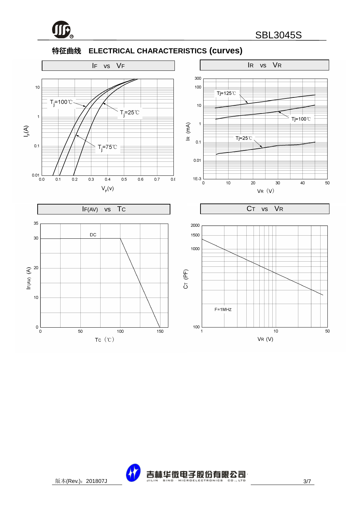

#### 特征曲线 **ELECTRICAL CHARACTERISTICS (curves)**



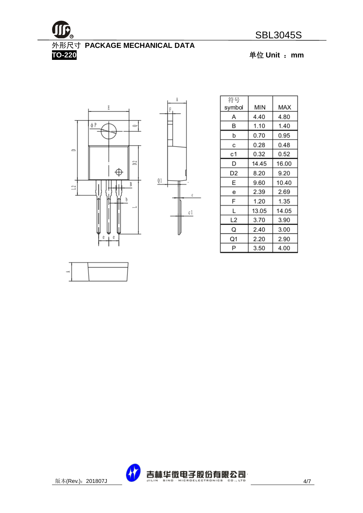

## 外形尺寸 **PACKAGE MECHANICAL DATA**

 $\Lambda$ 

 $\mathbb C$ 

 $c1$ 

**TO-220** 单位 **Unit** :**mm**





| 符号<br>symbol | MIN   | MAX   |
|--------------|-------|-------|
| Α            | 4.40  | 4.80  |
| B            | 1.10  | 1.40  |
| b            | 0.70  | 0.95  |
| с            | 0.28  | 0.48  |
| с1           | 0.32  | 0.52  |
| D            | 14.45 | 16.00 |
| D2           | 8.20  | 9.20  |
| E            | 9.60  | 10.40 |
| е            | 2.39  | 2.69  |
| F            | 1.20  | 1.35  |
| L            | 13.05 | 14.05 |
| L2           | 3.70  | 3.90  |
| Q            | 2.40  | 3.00  |
| Q1           | 2.20  | 2.90  |
| P            | 3.50  | 4.00  |

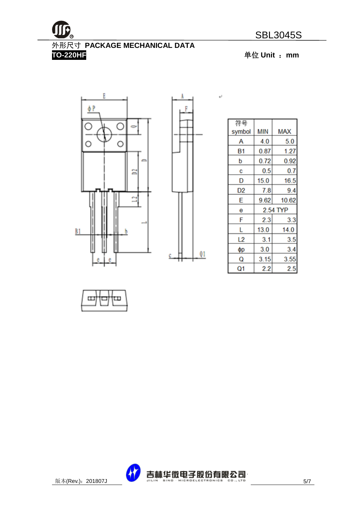

## 外形尺寸 **PACKAGE MECHANICAL DATA**

**TO-220HF** 单位 **Unit** :**mm**





 $\downarrow$ 

| 符号     |          |            |  |
|--------|----------|------------|--|
| symbol | MIN      | <b>MAX</b> |  |
| А      | 4.0      | 5.0        |  |
| Β1     | 0.87     | 1.27       |  |
| p      | 0.72     | 0.92       |  |
| С      | 0.5      | 0.7        |  |
| D      | 15.0     | 16.5       |  |
| D2     | 7.8      | 9.4        |  |
| E      | 9.62     | 10.62      |  |
| е      | 2.54 TYP |            |  |
| F      | 2.3      | 3.3        |  |
| L      | 13.0     | 14.0       |  |
| L2     | 3.1      | 3.5        |  |
| φр     | 3.0      | 3.4        |  |
| Q      | 3.15     | 3.55       |  |
| Q1     | 2.2      | 2.5        |  |



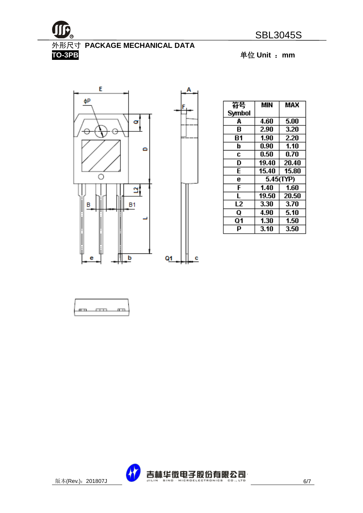

**TO-3PB** 单位 **Unit** :**mm**



| 符号     | MIN       | MAX   |  |
|--------|-----------|-------|--|
| Symbol |           |       |  |
| A      | 4.60      | 5.00  |  |
| В      | 2.90      | 3.20  |  |
| Β1     | 1.90      | 2.20  |  |
| b      | 0.90      | 1.10  |  |
| C      | 0.50      | 0.70  |  |
| D      | 19.40     | 20.40 |  |
| E      | 15.40     | 15.80 |  |
| e      | 5.45(TYP) |       |  |
| F      | 1.40      | 1.60  |  |
| L      | 19.50     | 20.50 |  |
| L2     | 3.30      | 3.70  |  |
| Q      | 4.90      | 5.10  |  |
| Q1     | 1.30      | 1.50  |  |
| p      | 3.10      | 3.50  |  |





c